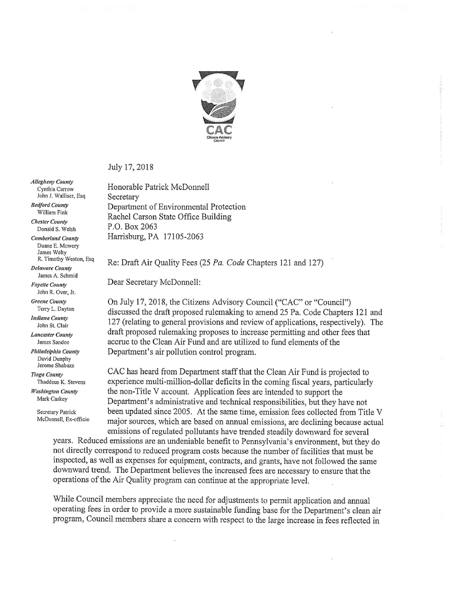

July 17,2018

**Allegheny County** Cynthia Carrow John J. Walliser, Esg. **Bedford County** 

William Fink

Chester County Donald S. Welsh

Cumberland County Duanc E. Mowcry James Wclty R. Timothy Wcston, Esq

Delaware County James A. Schmid

Fayette County John R, Over, Jr.

Greene County Terry L. Dayton

Indiana County John St. Clair

Lancaster County James Sandoe

Philadelphia County David Dunphy Jerome Shabazz

Tioga County Thaddeus K. Stevens

Washington County Mark Caskey

> Secretary Patrick McDonnell, Ex-officio

Honorable Patrick McDonnell Secretary Department of Environmental Protection Rachel Carson State Office Building P.O. Box 2063 Harrisburg, PA 17105-2063

Re; Draft Air Quality Fees (25 Pa. Code Chapters 121 and 127)

Dear Secretary McDonnell:

On July 17,2018, the Citizens Advisory Council ("CAC" or "Council") discussed the draft proposed rulemaking to amend 25 Pa. Code Chapters 121 and 127 (relating to general provisions and review of applications, respectively). The draft proposed rulemaking proposes to increase permitting and other fees that accrue to the Clean Air Fund and are utilized to fund elements of the Department's air pollution control program.

CAC has heard from Department staff that the Clean Air Fund is projected to experience multi-million-dollar deficits in the coming fiscal years, particularly the non-Title V account. Application fees are intended to support the Department's administrative and technical responsibilities, but they have not been updated since 2005. At the same time, emission fees collected from Title V major sources, which are based on annual emissions, are declining because actual emissions of regulated pollutants have trended steadily downward for several

years. Reduced emissions are an undeniable benefit to Pennsylvania's environment, but they do not directly correspond to reduced program costs because the number of facilities that must be inspected, as well as expenses for equipment, contracts, and grants, have not followed the same downward trend. The Department believes the increased fees are necessary to ensure that the operations of the Air Quality program can continue at the appropriate level.

While Council members appreciate the need for adjustments to permit application and annual operating fees in order to provide a more sustainable funding base for the Department's clean air program, Council members share a concern with respect to the large increase in fees reflected in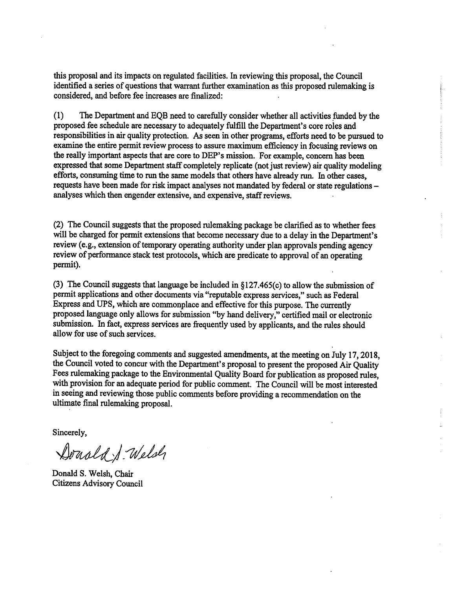this proposal and its impacts on regulated facilities. In reviewing this proposal, the Council identified a series of questions that warrant further examination as this proposed rulemaking is considered, and before fee increases are finalized:

(1) The Department and EQB need to carefully consider whether all activities funded by the proposed fee schedule are necessary to adequately fulfill the Department's core roles and responsibilities in air quality protection. As seen in other programs, efforts need to be pursued to examine the entire permit review process to assure maximum efficiency in focusing reviews on the really important aspects that are core to DEP's mission. For example, concern has been expressed that some Department staff completely replicate (not just review) air quality modeling efforts, consuming time to run the same models that others have already run. In other cases, requests have been made for risk impact analyses not mandated by federal or state regulations analyses which then engender extensive, and expensive, staff reviews.

(2) The Council suggests that the proposed rulemaking package be clarified as to whether fees will be charged for permit extensions that become necessary due to a delay in the Department's review (e.g., extension of temporary operating authority under plan approvals pending agency review of performance stack test protocols, which are predicate to approval of an operating permit).

(3) The Council suggests that language be included in § 127.465(c) to allow the submission of permit applications and other documents via "reputable express services," such as Federal Express and UPS, which are commonplace and effective for this purpose. The currently proposed language only allows for submission "by hand delivery," certified mail or electronic submission. In fact, express services are frequently used by applicants, and the rules should allow for use of such services.

Subject to the foregoing comments and suggested amendments, at the meeting on July 17,2018, the Council voted to concur with the Department's proposal to present the proposed Air Quality Fees rulemaking package to the Environmental Quality Board for publication as proposed rules, with provision for an adequate period for public comment. The Council will be most interested in seeing and reviewing those public comments before providing a recommendation on the ultimate final rulemaking proposal.

Sincerely,

Donald J. Welsh

Donald S. Welsh, Chair Citizens Advisory Council